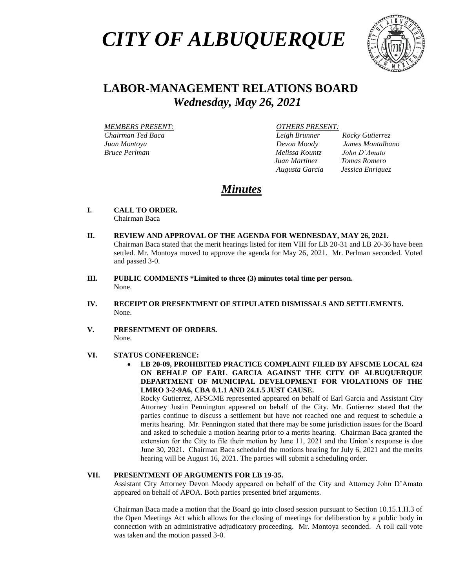# *CITY OF ALBUQUERQUE*



# **LABOR-MANAGEMENT RELATIONS BOARD**  *Wednesday, May 26, 2021*

 *MEMBERS PRESENT: OTHERS PRESENT: Chairman Ted Baca Leigh Brunner Rocky Gutierrez Juan Montoya Devon Moody James Montalbano Bruce Perlman Melissa Kountz John D'Amato*

*Juan Martinez Tomas Romero*

*Augusta Garcia Jessica Enriquez*

## *Minutes*

- **I. CALL TO ORDER.** Chairman Baca
- **II. REVIEW AND APPROVAL OF THE AGENDA FOR WEDNESDAY, MAY 26, 2021.**  Chairman Baca stated that the merit hearings listed for item VIII for LB 20-31 and LB 20-36 have been settled. Mr. Montoya moved to approve the agenda for May 26, 2021. Mr. Perlman seconded. Voted and passed 3-0.
- **III. PUBLIC COMMENTS \*Limited to three (3) minutes total time per person.** None.
- **IV. RECEIPT OR PRESENTMENT OF STIPULATED DISMISSALS AND SETTLEMENTS.** None.
- **V. PRESENTMENT OF ORDERS.** None.

#### **VI. STATUS CONFERENCE:**

• **LB 20-09, PROHIBITED PRACTICE COMPLAINT FILED BY AFSCME LOCAL 624 ON BEHALF OF EARL GARCIA AGAINST THE CITY OF ALBUQUERQUE DEPARTMENT OF MUNICIPAL DEVELOPMENT FOR VIOLATIONS OF THE LMRO 3-2-9A6, CBA 0.1.1 AND 24.1.5 JUST CAUSE.** 

Rocky Gutierrez, AFSCME represented appeared on behalf of Earl Garcia and Assistant City Attorney Justin Pennington appeared on behalf of the City. Mr. Gutierrez stated that the parties continue to discuss a settlement but have not reached one and request to schedule a merits hearing. Mr. Pennington stated that there may be some jurisdiction issues for the Board and asked to schedule a motion hearing prior to a merits hearing. Chairman Baca granted the extension for the City to file their motion by June 11, 2021 and the Union's response is due June 30, 2021. Chairman Baca scheduled the motions hearing for July 6, 2021 and the merits hearing will be August 16, 2021. The parties will submit a scheduling order.

### **VII. PRESENTMENT OF ARGUMENTS FOR LB 19-35.**

Assistant City Attorney Devon Moody appeared on behalf of the City and Attorney John D'Amato appeared on behalf of APOA. Both parties presented brief arguments.

Chairman Baca made a motion that the Board go into closed session pursuant to Section 10.15.1.H.3 of the Open Meetings Act which allows for the closing of meetings for deliberation by a public body in connection with an administrative adjudicatory proceeding. Mr. Montoya seconded. A roll call vote was taken and the motion passed 3-0.